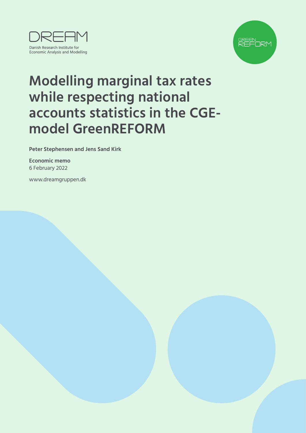



# **Modelling marginal tax rates while respecting national accounts statistics in the CGEmodel GreenREFORM**

**Peter Stephensen and Jens Sand Kirk**

**Economic memo** 6 February 2022

[www.dreamgruppen.dk](https://dreamgruppen.dk/)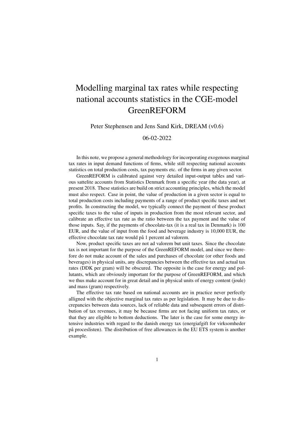# Modelling marginal tax rates while respecting national accounts statistics in the CGE-model GreenREFORM

Peter Stephensen and Jens Sand Kirk, DREAM (v0.6)

06-02-2022

In this note, we propose a general methodology for incorporating exogenous marginal tax rates in input demand functions of firms, while still respecting national accounts statistics on total production costs, tax payments etc. of the firms in any given sector.

GreenREFORM is calibrated against very detailed input-output tables and various sattelite accounts from Statistics Denmark from a specific year (the data year), at present 2018. These statistics are build on strict accounting principles, which the model must also respect. Case in point, the value of production in a given sector is equal to total production costs including payments of a range of product specific taxes and net profits. In constructing the model, we typically connect the payment of these product specific taxes to the value of inputs in production from the most relevant sector, and calibrate an effective tax rate as the ratio between the tax payment and the value of those inputs. Say, if the payments of chocolate-tax (it is a real tax in Denmark) is 100 EUR, and the value of input from the food and beverage industry is 10,000 EUR, the effective chocolate tax rate would på 1 percent ad valorem.

Now, product specific taxes are not ad valorem but unit taxes. Since the chocolate tax is not important for the purpose of the GreenREFORM model, and since we therefore do not make account of the sales and purchases of chocolate (or other foods and beverages) in physical units, any discrepancies between the effective tax and actual tax rates (DDK per gram) will be obscured. The opposite is the case for energy and pollutants, which are obviously important for the purpose of GreenREFORM, and which we thus make account for in great detail and in physical units of energy content (joule) and mass (gram) respectively.

The effective tax rate based on national accounts are in practice never perfectly alligned with the objective marginal tax rates as per legislation. It may be due to discrepancies between data sources, lack of reliable data and subsequent errors of distribution of tax revenues, it may be because firms are not facing uniform tax rates, or that they are eligible to bottom deductions. The later is the case for some energy intensive industries with regard to the danish energy tax (energiafgift for virksomheder på proceslisten). The distribution of free allowances in the EU ETS system is another example.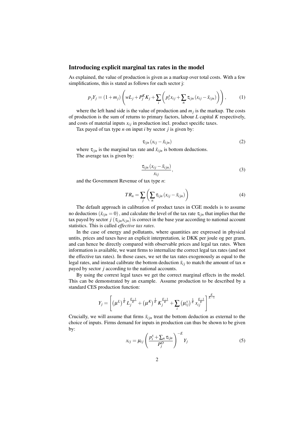#### Introducing explicit marginal tax rates in the model

As explained, the value of production is given as a markup over total costs. With a few simplifications, this is stated as follows for each sector j:

$$
p_j Y_j = (1 + m_j) \left( w L_j + P_j^K K_j + \sum_i \left( p_i^x x_{ij} + \sum_n \tau_{ijn} \left( x_{ij} - \bar{x}_{ijn} \right) \right) \right), \tag{1}
$$

where the left hand side is the value of production and  $m_j$  is the markup. The costs of production is the sum of returns to primary factors, labour *L* capital *K* respectively, and costs of material inputs  $x_{ij}$  in production incl. product specific taxes.

Tax payed of tax type *n* on input *i* by sector *j* is given by:

$$
\tau_{ijn}(x_{ij} - \bar{x}_{ijn}) \tag{2}
$$

where  $\tau_{i j n}$  is the marginal tax rate and  $\bar{x}_{i j n}$  is bottom deductions. The average tax is given by:

$$
\frac{\tau_{ijn}(x_{ij} - \bar{x}_{ijn})}{x_{ij}},\tag{3}
$$

and the Government Revenue of tax type *n*:

$$
TR_n = \sum_{j} \left( \sum_{n} \tau_{ijn} \left( x_{ij} - \bar{x}_{ijn} \right) \right) \tag{4}
$$

The default approach in calibration of product taxes in CGE models is to assume no deductions  $(\bar{x}_{ijn} = 0)$ , and calculate the level of the tax rate  $\tau_{ijn}$  that implies that the tax payed by sector  $j(\tau_{ijn}x_{ijn})$  is correct in the base year according to national account statistics. This is called *effective tax rates*.

In the case of energy and pollutants, where quantities are expressed in physical untits, prices and taxes have an explicit interpretation, ie DKK per joule og per gram, and can hence be directly compared with observable prices and legal tax rates. When information is available, we want firms to internalize the correct legal tax rates (and not the effective tax rates). In those cases, we set the tax rates exogenously as equal to the legal rates, and instead calibrate the bottom deduction  $\bar{x}_i$  to match the amount of tax *n* payed by sector *j* according to the national accounts.

By using the corrext legal taxes we get the correct marginal effects in the model. This can be demonstrated by an example. Assume production to be described by a standard CES production function:

$$
Y_j = \left[ \left( \mu^{L} \right)^{\frac{1}{E}} L_j^{\frac{E-1}{E}} + \left( \mu^{K} \right)^{\frac{1}{E}} K_j^{\frac{E-1}{E}} + \sum_i \left( \mu_{ij}^{X} \right)^{\frac{1}{E}} x_{ij}^{\frac{E-1}{E}} \right]^{\frac{E}{E-1}}
$$

Crucially, we will assume that firms  $\bar{x}_{ijn}$  treat the bottom deduction as external to the choice of inputs. Firms demand for inputs in production can thus be shown to be given by:

$$
x_{ij} = \mu_{ij} \left( \frac{p_i^x + \sum_n \tau_{ijn}}{P_j^O} \right)^{-E} Y_j
$$
 (5)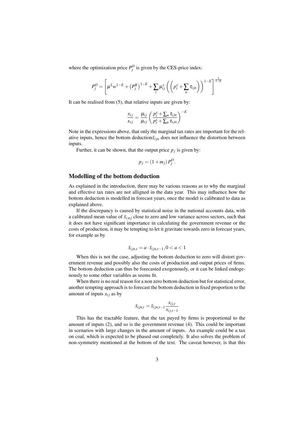where the optimization price  $P_j^O$  is given by the CES-price index:

$$
P_j^O = \left[\mu^L w^{1-E} + \left(P_j^K\right)^{1-E} + \sum_i \mu_{ij}^x \left(\left(p_i^x + \sum_n \tau_{ijn}\right)\right)^{1-E}\right]^{\frac{1}{1-E}}
$$

It can be realised from (5), that relative inputs are given by:

$$
\frac{x_{ij}}{x_{sj}} = \frac{\mu_{ij}}{\mu_{sj}} \left( \frac{p_i^x + \sum_n \tau_{ijn}}{p_s^x + \sum_n \tau_{sjn}} \right)^{-E}
$$

Note in the expressions above, that only the marginal tax rates are important for the relative inputs, hence the bottom deduction  $\bar{x}_{i j n}$  does not influence the distortion between inputs.

Further, it can be shown, that the output price  $p_j$  is given by:

$$
p_j = (1 + m_j) P_j^O.
$$

## Modelling of the bottom deduction

As explained in the introduction, there may be various reasons as to why the marginal and effective tax rates are not alligned in the data year. This may influence how the bottom deduction is modelled in forecast years, once the model is calibrated to data as explained above.

If the discrepancy is caused by statistical noise in the national accounts data, with a calibrated mean value of  $\bar{x}_{i,nj}$  close to zero and low variance across sectors, such that it does not have significant importance in calculating the government revenue or the costs of production, it may be tempting to let it gravitate towards zero in forecast years, for example as by

$$
\bar{x}_{ijn,t} = a \cdot \bar{x}_{ijn,t-1}, 0 < a < 1
$$

When this is not the case, adjusting the bottom deduction to zero will distort government revenue and possibly also the costs of production and output prices of firms. The bottom deduction can thus be forecasted exogenously, or it can be linked endogenously to some other variables as seems fit.

When there is no real reason for a non zero bottom deduction but for statistical error, another tempting approach is to forecast the bottom deduction in fixed proportion to the amount of inputs  $x_{ij}$  as by

$$
\bar{x}_{ijn,t} = \bar{x}_{ijn,t-1} \frac{x_{ij,t}}{x_{ij,t-1}}
$$

This has the tractable feature, that the tax payed by firms is proportional to the amount of inputs (2), and so is the government revenue (4). This could be important in scenarios with large changes in the amount of inputs. An example could be a tax on coal, which is expected to be phased out completely. It also solves the problem of non-symmetry mentioned at the bottom of the text. The caveat however, is that this